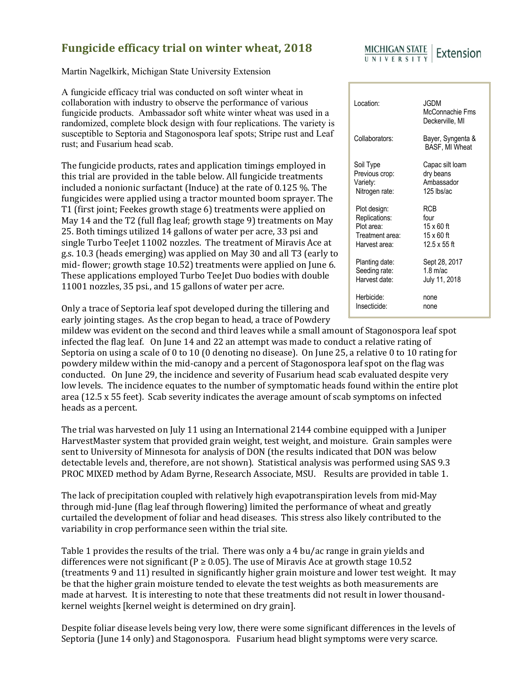## **Fungicide efficacy trial on winter wheat, 2018**

Martin Nagelkirk, Michigan State University Extension

A fungicide efficacy trial was conducted on soft winter wheat in collaboration with industry to observe the performance of various fungicide products. Ambassador soft white winter wheat was used in a randomized, complete block design with four replications. The variety is susceptible to Septoria and Stagonospora leaf spots; Stripe rust and Leaf rust; and Fusarium head scab.

The fungicide products, rates and application timings employed in this trial are provided in the table below. All fungicide treatments included a nonionic surfactant (Induce) at the rate of 0.125 %. The fungicides were applied using a tractor mounted boom sprayer. The T1 (first joint; Feekes growth stage 6) treatments were applied on May 14 and the T2 (full flag leaf; growth stage 9) treatments on May 25. Both timings utilized 14 gallons of water per acre, 33 psi and single Turbo TeeJet 11002 nozzles. The treatment of Miravis Ace at g.s. 10.3 (heads emerging) was applied on May 30 and all T3 (early to mid- flower; growth stage 10.52) treatments were applied on June 6. These applications employed Turbo TeeJet Duo bodies with double 11001 nozzles, 35 psi., and 15 gallons of water per acre.

Only a trace of Septoria leaf spot developed during the tillering and early jointing stages. As the crop began to head, a trace of Powdery

mildew was evident on the second and third leaves while a small amount of Stagonospora leaf spot infected the flag leaf. On June 14 and 22 an attempt was made to conduct a relative rating of Septoria on using a scale of 0 to 10 (0 denoting no disease). On June 25, a relative 0 to 10 rating for powdery mildew within the mid-canopy and a percent of Stagonospora leaf spot on the flag was conducted. On June 29, the incidence and severity of Fusarium head scab evaluated despite very low levels. The incidence equates to the number of symptomatic heads found within the entire plot area  $(12.5 \times 55 \text{ feet})$ . Scab severity indicates the average amount of scab symptoms on infected heads as a percent.

The trial was harvested on July 11 using an International 2144 combine equipped with a Juniper HarvestMaster system that provided grain weight, test weight, and moisture. Grain samples were sent to University of Minnesota for analysis of DON (the results indicated that DON was below detectable levels and, therefore, are not shown). Statistical analysis was performed using SAS 9.3 PROC MIXED method by Adam Byrne, Research Associate, MSU. Results are provided in table 1.

The lack of precipitation coupled with relatively high evapotranspiration levels from mid-May through mid-June (flag leaf through flowering) limited the performance of wheat and greatly curtailed the development of foliar and head diseases. This stress also likely contributed to the variability in crop performance seen within the trial site.

Table 1 provides the results of the trial. There was only a 4 bu/ac range in grain yields and differences were not significant (P  $\geq$  0.05). The use of Miravis Ace at growth stage 10.52 (treatments 9 and 11) resulted in significantly higher grain moisture and lower test weight. It may be that the higher grain moisture tended to elevate the test weights as both measurements are made at harvest. It is interesting to note that these treatments did not result in lower thousandkernel weights [kernel weight is determined on dry grain].

Despite foliar disease levels being very low, there were some significant differences in the levels of Septoria (June 14 only) and Stagonospora. Fusarium head blight symptoms were very scarce.



| I ocation:      | JGDM<br>McConnachie Fms<br>Deckerville, MI |  |  |  |  |  |
|-----------------|--------------------------------------------|--|--|--|--|--|
| Collaborators:  | Bayer, Syngenta &<br><b>BASF, MI Wheat</b> |  |  |  |  |  |
| Soil Type       | Capac silt loam                            |  |  |  |  |  |
| Previous crop:  | dry beans                                  |  |  |  |  |  |
| Variety:        | Ambassador                                 |  |  |  |  |  |
| Nitrogen rate:  | 125 lbs/ac                                 |  |  |  |  |  |
| Plot design:    | RCB                                        |  |  |  |  |  |
| Replications:   | four                                       |  |  |  |  |  |
| Plot area:      | $15 \times 60$ ft                          |  |  |  |  |  |
| Treatment area: | $15 \times 60$ ft                          |  |  |  |  |  |
| Harvest area:   | $12.5 \times 55$ ft                        |  |  |  |  |  |
| Planting date:  | Sept 28, 2017                              |  |  |  |  |  |
| Seeding rate:   | $1.8$ m/ac                                 |  |  |  |  |  |
| Harvest date:   | July 11, 2018                              |  |  |  |  |  |
| Herbicide:      | none                                       |  |  |  |  |  |
| Insecticide:    | none                                       |  |  |  |  |  |